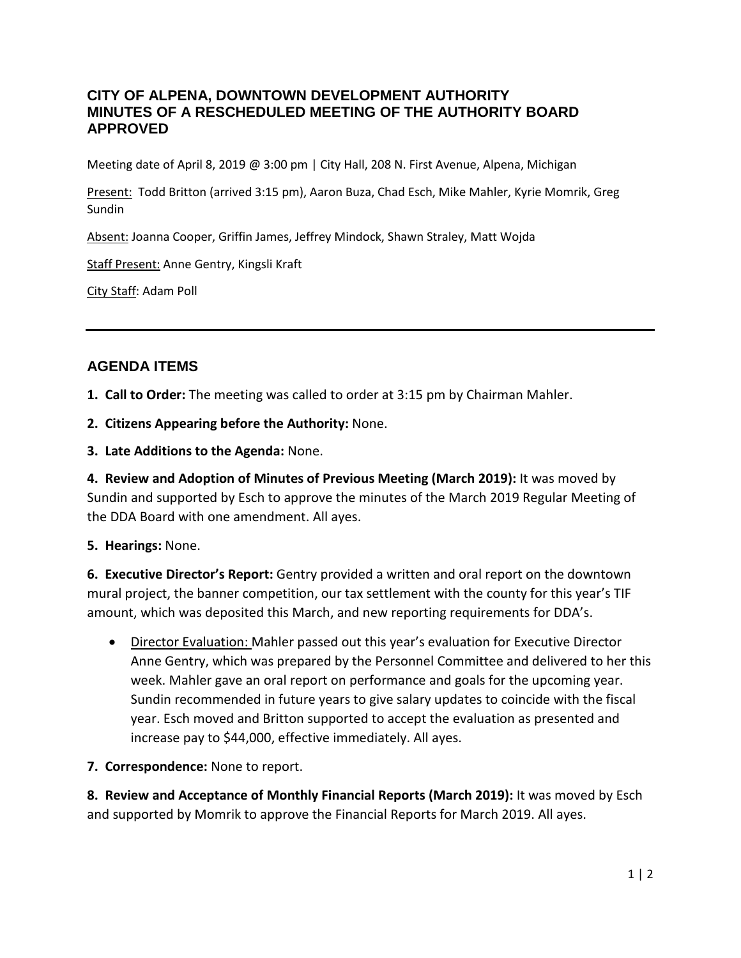## **CITY OF ALPENA, DOWNTOWN DEVELOPMENT AUTHORITY MINUTES OF A RESCHEDULED MEETING OF THE AUTHORITY BOARD APPROVED**

Meeting date of April 8, 2019 @ 3:00 pm | City Hall, 208 N. First Avenue, Alpena, Michigan

Present: Todd Britton (arrived 3:15 pm), Aaron Buza, Chad Esch, Mike Mahler, Kyrie Momrik, Greg Sundin

Absent: Joanna Cooper, Griffin James, Jeffrey Mindock, Shawn Straley, Matt Wojda

Staff Present: Anne Gentry, Kingsli Kraft

City Staff: Adam Poll

# **AGENDA ITEMS**

**1. Call to Order:** The meeting was called to order at 3:15 pm by Chairman Mahler.

- **2. Citizens Appearing before the Authority:** None.
- **3. Late Additions to the Agenda:** None.

**4. Review and Adoption of Minutes of Previous Meeting (March 2019):** It was moved by Sundin and supported by Esch to approve the minutes of the March 2019 Regular Meeting of the DDA Board with one amendment. All ayes.

#### **5. Hearings:** None.

**6. Executive Director's Report:** Gentry provided a written and oral report on the downtown mural project, the banner competition, our tax settlement with the county for this year's TIF amount, which was deposited this March, and new reporting requirements for DDA's.

• Director Evaluation: Mahler passed out this year's evaluation for Executive Director Anne Gentry, which was prepared by the Personnel Committee and delivered to her this week. Mahler gave an oral report on performance and goals for the upcoming year. Sundin recommended in future years to give salary updates to coincide with the fiscal year. Esch moved and Britton supported to accept the evaluation as presented and increase pay to \$44,000, effective immediately. All ayes.

**7. Correspondence:** None to report.

**8. Review and Acceptance of Monthly Financial Reports (March 2019):** It was moved by Esch and supported by Momrik to approve the Financial Reports for March 2019. All ayes.